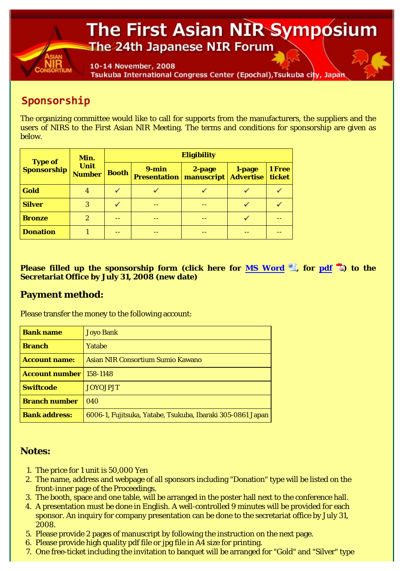## The First Asian NIR Symposium The 24th Japanese NIR Forum

10-14 November, 2008 Tsukuba International Congress Center (Epochal), Tsukuba city, Japan

## Sponsorship

The organizing committee would like to call for supports from the manufacturers, the suppliers and the users of NIRS to the First Asian NIR Meeting. The terms and conditions for sponsorship are given as below.

| <b>Type of</b><br><b>Sponsorship</b> | Min.<br>Unit<br><b>Number</b> | <b>Eligibility</b> |                                  |                      |                            |                  |
|--------------------------------------|-------------------------------|--------------------|----------------------------------|----------------------|----------------------------|------------------|
|                                      |                               | <b>Booth</b>       | $9 - min$<br><b>Presentation</b> | 2-page<br>manuscript | 1-page<br><b>Advertise</b> | 1 Free<br>ticket |
| Gold                                 | 4                             |                    |                                  |                      |                            |                  |
| <b>Silver</b>                        | 3                             |                    |                                  |                      |                            |                  |
| <b>Bronze</b>                        | $\boldsymbol{2}$              |                    |                                  |                      |                            |                  |
| <b>Donation</b>                      |                               |                    |                                  |                      |                            |                  |

**Please filled up the sponsorship form (click here for MS Word <b>L**, for pdf <sup>7</sup>2) to the **Secretariat Office by July 31, 2008 (new date)**

## **Payment method:**

Please transfer the money to the following account:

| <b>Bank name</b>               | <b>Joyo Bank</b>                                           |
|--------------------------------|------------------------------------------------------------|
| <b>Branch</b>                  | Yatabe                                                     |
| <b>Account name:</b>           | Asian NIR Consortium Sumio Kawano                          |
| <b>Account number</b> 158-1148 |                                                            |
| <b>Swiftcode</b>               | <b>JOYOJPJT</b>                                            |
| <b>Branch number</b>           | 040                                                        |
| <b>Bank address:</b>           | 6006-1, Fujitsuka, Yatabe, Tsukuba, Ibaraki 305-0861 Japan |

## **Notes:**

- 1. The price for 1 unit is 50,000 Yen
- The name, address and webpage of all sponsors including "Donation" type will be listed on the 2. front-inner page of the Proceedings.
- 3. The booth, space and one table, will be arranged in the poster hall next to the conference hall.
- A presentation must be done in English. A well-controlled 9 minutes will be provided for each 4. sponsor. An inquiry for company presentation can be done to the secretariat office by July 31, 2008.
- 5. Please provide 2 pages of manuscript by following the instruction on the next page.
- 6. Please provide high quality pdf file or jpg file in A4 size for printing.
- 7. One free-ticket including the invitation to banquet will be arranged for "Gold" and "Silver" type